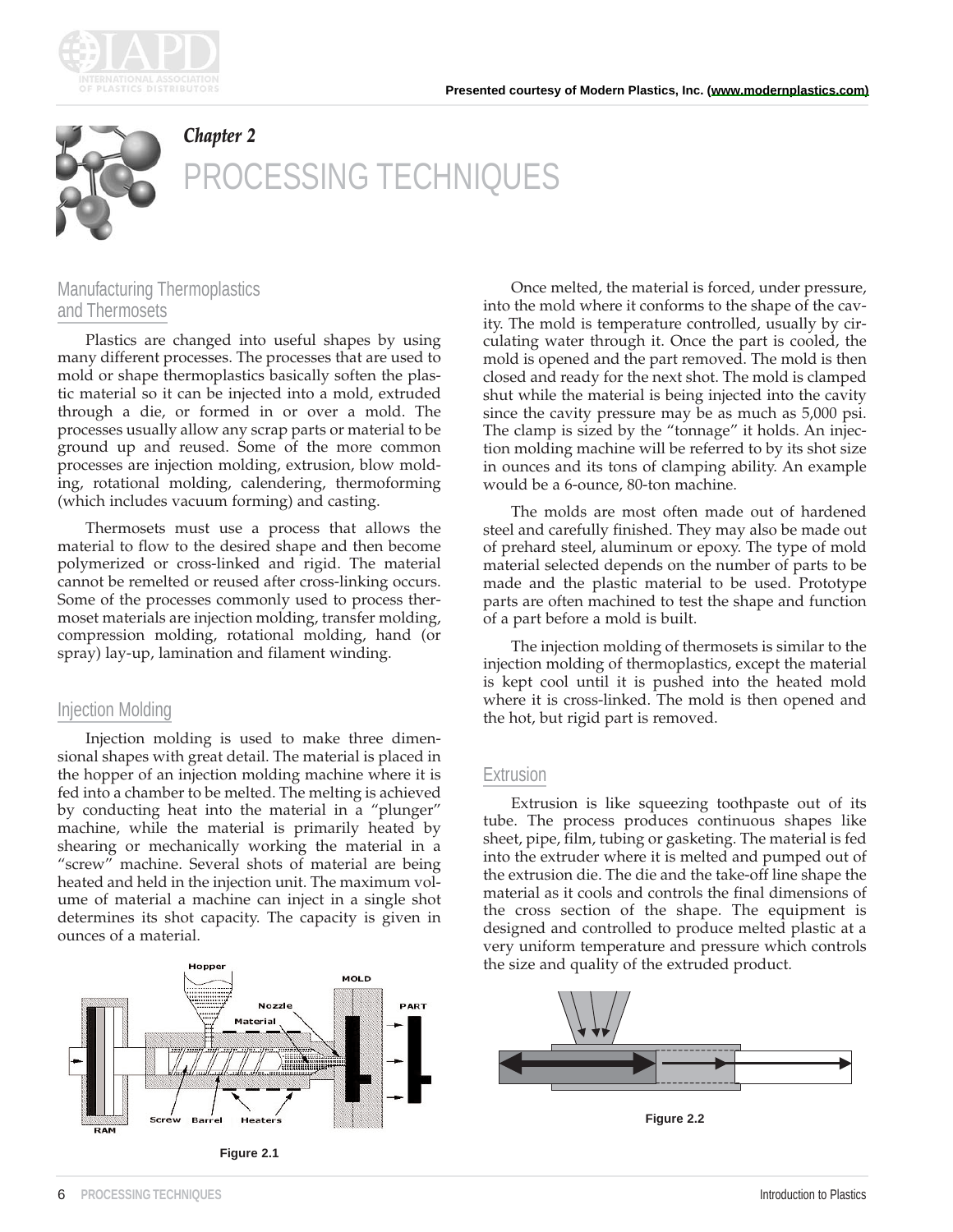



# *Chapter 2* **CESSING TECHNIQUES**

# Manufacturing Thermoplastics and Thermosets

Plastics are changed into useful shapes by using many different processes. The processes that are used to mold or shape thermoplastics basically soften the plastic material so it can be injected into a mold, extruded through a die, or formed in or over a mold. The processes usually allow any scrap parts or material to be ground up and reused. Some of the more common processes are injection molding, extrusion, blow molding, rotational molding, calendering, thermoforming (which includes vacuum forming) and casting.

Thermosets must use a process that allows the material to flow to the desired shape and then become polymerized or cross-linked and rigid. The material cannot be remelted or reused after cross-linking occurs. Some of the processes commonly used to process thermoset materials are injection molding, transfer molding, compression molding, rotational molding, hand (or spray) lay-up, lamination and filament winding.

## Injection Molding

Injection molding is used to make three dimensional shapes with great detail. The material is placed in the hopper of an injection molding machine where it is fed into a chamber to be melted. The melting is achieved by conducting heat into the material in a "plunger" machine, while the material is primarily heated by shearing or mechanically working the material in a "screw" machine. Several shots of material are being heated and held in the injection unit. The maximum volume of material a machine can inject in a single shot determines its shot capacity. The capacity is given in ounces of a material.



**Figure 2.1**

Once melted, the material is forced, under pressure, into the mold where it conforms to the shape of the cavity. The mold is temperature controlled, usually by circulating water through it. Once the part is cooled, the mold is opened and the part removed. The mold is then closed and ready for the next shot. The mold is clamped shut while the material is being injected into the cavity since the cavity pressure may be as much as 5,000 psi. The clamp is sized by the "tonnage" it holds. An injection molding machine will be referred to by its shot size in ounces and its tons of clamping ability. An example would be a 6-ounce, 80-ton machine.

The molds are most often made out of hardened steel and carefully finished. They may also be made out of prehard steel, aluminum or epoxy. The type of mold material selected depends on the number of parts to be made and the plastic material to be used. Prototype parts are often machined to test the shape and function of a part before a mold is built.

The injection molding of thermosets is similar to the injection molding of thermoplastics, except the material is kept cool until it is pushed into the heated mold where it is cross-linked. The mold is then opened and the hot, but rigid part is removed.

#### Extrusion

Extrusion is like squeezing toothpaste out of its tube. The process produces continuous shapes like sheet, pipe, film, tubing or gasketing. The material is fed into the extruder where it is melted and pumped out of the extrusion die. The die and the take-off line shape the material as it cools and controls the final dimensions of the cross section of the shape. The equipment is designed and controlled to produce melted plastic at a very uniform temperature and pressure which controls the size and quality of the extruded product.



**Figure 2.2**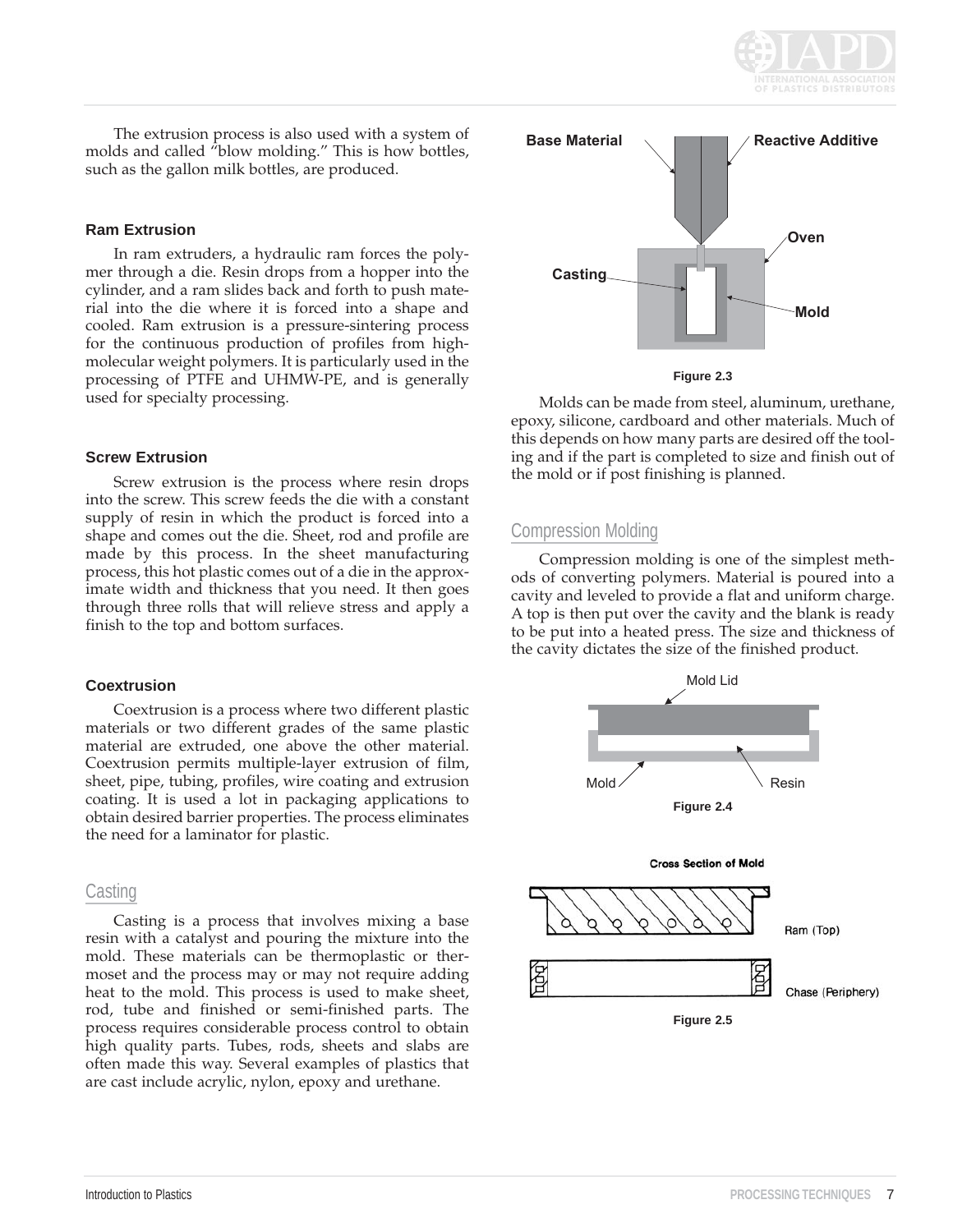

The extrusion process is also used with a system of molds and called "blow molding." This is how bottles, such as the gallon milk bottles, are produced.

#### **Ram Extrusion**

In ram extruders, a hydraulic ram forces the polymer through a die. Resin drops from a hopper into the cylinder, and a ram slides back and forth to push material into the die where it is forced into a shape and cooled. Ram extrusion is a pressure-sintering process for the continuous production of profiles from highmolecular weight polymers. It is particularly used in the processing of PTFE and UHMW-PE, and is generally used for specialty processing.

#### **Screw Extrusion**

Screw extrusion is the process where resin drops into the screw. This screw feeds the die with a constant supply of resin in which the product is forced into a shape and comes out the die. Sheet, rod and profile are made by this process. In the sheet manufacturing process, this hot plastic comes out of a die in the approximate width and thickness that you need. It then goes through three rolls that will relieve stress and apply a finish to the top and bottom surfaces.

#### **Coextrusion**

Coextrusion is a process where two different plastic materials or two different grades of the same plastic material are extruded, one above the other material. Coextrusion permits multiple-layer extrusion of film, sheet, pipe, tubing, profiles, wire coating and extrusion coating. It is used a lot in packaging applications to obtain desired barrier properties. The process eliminates the need for a laminator for plastic.

#### **Casting**

Casting is a process that involves mixing a base resin with a catalyst and pouring the mixture into the mold. These materials can be thermoplastic or thermoset and the process may or may not require adding heat to the mold. This process is used to make sheet, rod, tube and finished or semi-finished parts. The process requires considerable process control to obtain high quality parts. Tubes, rods, sheets and slabs are often made this way. Several examples of plastics that are cast include acrylic, nylon, epoxy and urethane.



**Figure 2.3**

Molds can be made from steel, aluminum, urethane, epoxy, silicone, cardboard and other materials. Much of this depends on how many parts are desired off the tooling and if the part is completed to size and finish out of the mold or if post finishing is planned.

### Compression Molding

Compression molding is one of the simplest methods of converting polymers. Material is poured into a cavity and leveled to provide a flat and uniform charge. A top is then put over the cavity and the blank is ready to be put into a heated press. The size and thickness of the cavity dictates the size of the finished product.

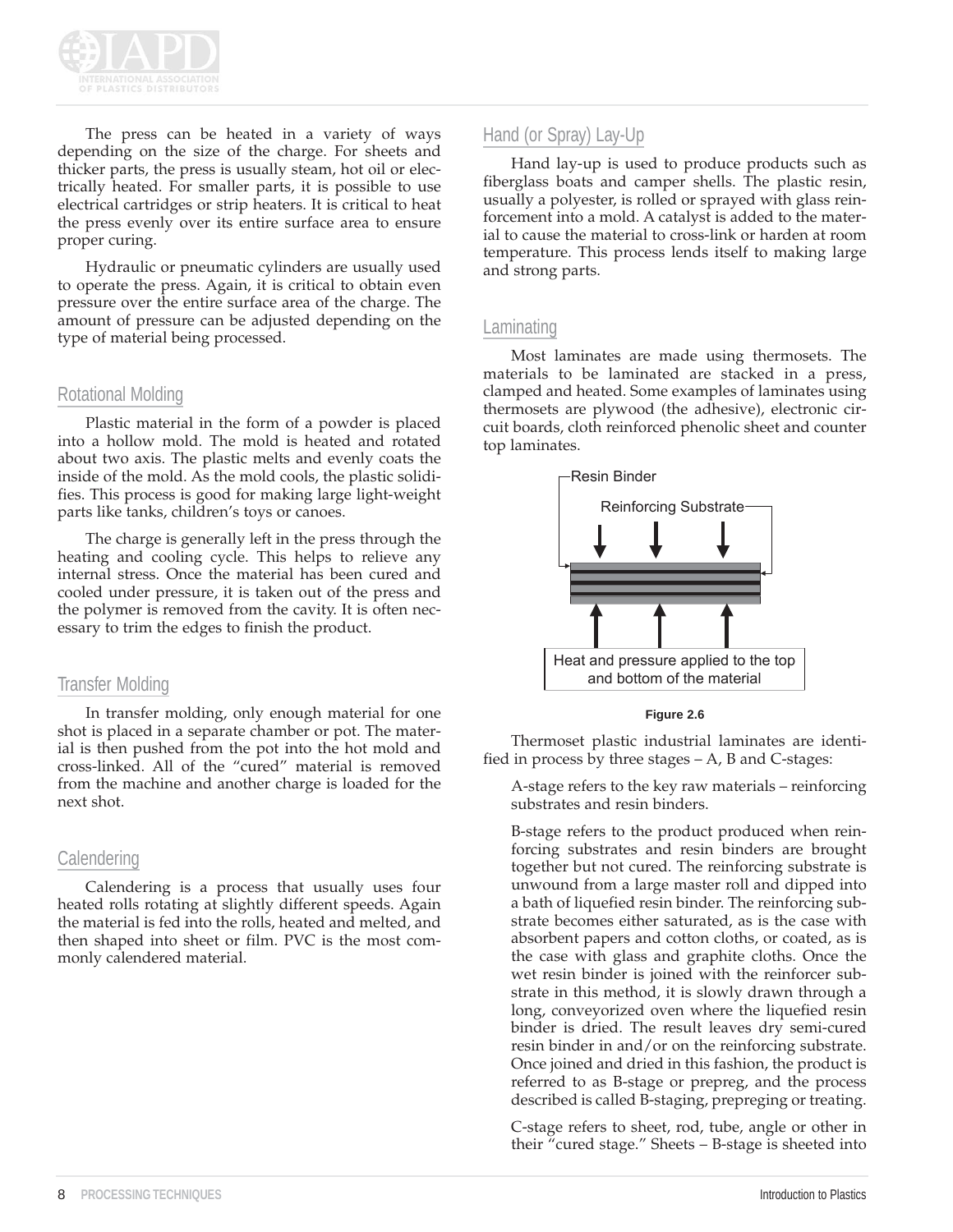

The press can be heated in a variety of ways depending on the size of the charge. For sheets and thicker parts, the press is usually steam, hot oil or electrically heated. For smaller parts, it is possible to use electrical cartridges or strip heaters. It is critical to heat the press evenly over its entire surface area to ensure proper curing.

Hydraulic or pneumatic cylinders are usually used to operate the press. Again, it is critical to obtain even pressure over the entire surface area of the charge. The amount of pressure can be adjusted depending on the type of material being processed.

### Rotational Molding

Plastic material in the form of a powder is placed into a hollow mold. The mold is heated and rotated about two axis. The plastic melts and evenly coats the inside of the mold. As the mold cools, the plastic solidifies. This process is good for making large light-weight parts like tanks, children's toys or canoes.

The charge is generally left in the press through the heating and cooling cycle. This helps to relieve any internal stress. Once the material has been cured and cooled under pressure, it is taken out of the press and the polymer is removed from the cavity. It is often necessary to trim the edges to finish the product.

#### Transfer Molding

In transfer molding, only enough material for one shot is placed in a separate chamber or pot. The material is then pushed from the pot into the hot mold and cross-linked. All of the "cured" material is removed from the machine and another charge is loaded for the next shot.

## **Calendering**

Calendering is a process that usually uses four heated rolls rotating at slightly different speeds. Again the material is fed into the rolls, heated and melted, and then shaped into sheet or film. PVC is the most commonly calendered material.

## Hand (or Spray) Lay-Up

Hand lay-up is used to produce products such as fiberglass boats and camper shells. The plastic resin, usually a polyester, is rolled or sprayed with glass reinforcement into a mold. A catalyst is added to the material to cause the material to cross-link or harden at room temperature. This process lends itself to making large and strong parts.

#### Laminating

Most laminates are made using thermosets. The materials to be laminated are stacked in a press, clamped and heated. Some examples of laminates using thermosets are plywood (the adhesive), electronic circuit boards, cloth reinforced phenolic sheet and counter top laminates.



**Figure 2.6**

Thermoset plastic industrial laminates are identified in process by three stages – A, B and C-stages:

A-stage refers to the key raw materials – reinforcing substrates and resin binders.

B-stage refers to the product produced when reinforcing substrates and resin binders are brought together but not cured. The reinforcing substrate is unwound from a large master roll and dipped into a bath of liquefied resin binder. The reinforcing substrate becomes either saturated, as is the case with absorbent papers and cotton cloths, or coated, as is the case with glass and graphite cloths. Once the wet resin binder is joined with the reinforcer substrate in this method, it is slowly drawn through a long, conveyorized oven where the liquefied resin binder is dried. The result leaves dry semi-cured resin binder in and/or on the reinforcing substrate. Once joined and dried in this fashion, the product is referred to as B-stage or prepreg, and the process described is called B-staging, prepreging or treating.

C-stage refers to sheet, rod, tube, angle or other in their "cured stage." Sheets – B-stage is sheeted into